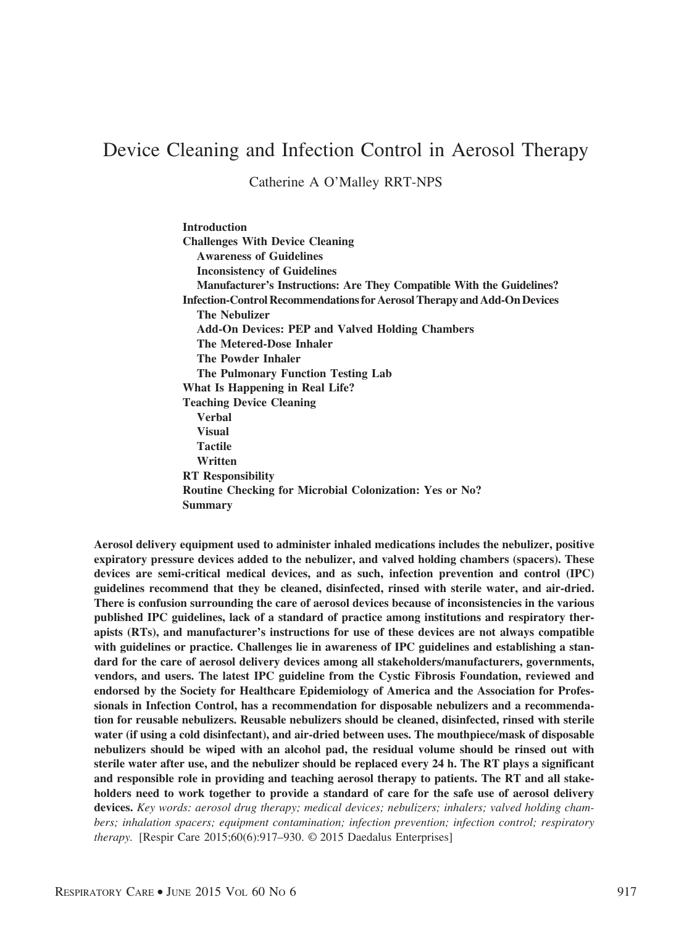# Device Cleaning and Infection Control in Aerosol Therapy

Catherine A O'Malley RRT-NPS

**Introduction Challenges With Device Cleaning Awareness of Guidelines Inconsistency of Guidelines Manufacturer's Instructions: Are They Compatible With the Guidelines? Infection-Control Recommendations for Aerosol Therapy and Add-On Devices The Nebulizer Add-On Devices: PEP and Valved Holding Chambers The Metered-Dose Inhaler The Powder Inhaler The Pulmonary Function Testing Lab What Is Happening in Real Life? Teaching Device Cleaning Verbal Visual Tactile Written RT Responsibility Routine Checking for Microbial Colonization: Yes or No? Summary**

**Aerosol delivery equipment used to administer inhaled medications includes the nebulizer, positive expiratory pressure devices added to the nebulizer, and valved holding chambers (spacers). These devices are semi-critical medical devices, and as such, infection prevention and control (IPC) guidelines recommend that they be cleaned, disinfected, rinsed with sterile water, and air-dried. There is confusion surrounding the care of aerosol devices because of inconsistencies in the various published IPC guidelines, lack of a standard of practice among institutions and respiratory therapists (RTs), and manufacturer's instructions for use of these devices are not always compatible with guidelines or practice. Challenges lie in awareness of IPC guidelines and establishing a standard for the care of aerosol delivery devices among all stakeholders/manufacturers, governments, vendors, and users. The latest IPC guideline from the Cystic Fibrosis Foundation, reviewed and endorsed by the Society for Healthcare Epidemiology of America and the Association for Professionals in Infection Control, has a recommendation for disposable nebulizers and a recommendation for reusable nebulizers. Reusable nebulizers should be cleaned, disinfected, rinsed with sterile water (if using a cold disinfectant), and air-dried between uses. The mouthpiece/mask of disposable nebulizers should be wiped with an alcohol pad, the residual volume should be rinsed out with sterile water after use, and the nebulizer should be replaced every 24 h. The RT plays a significant and responsible role in providing and teaching aerosol therapy to patients. The RT and all stakeholders need to work together to provide a standard of care for the safe use of aerosol delivery devices.** *Key words: aerosol drug therapy; medical devices; nebulizers; inhalers; valved holding chambers; inhalation spacers; equipment contamination; infection prevention; infection control; respiratory therapy.* [Respir Care 2015;60(6):917–930. © 2015 Daedalus Enterprises]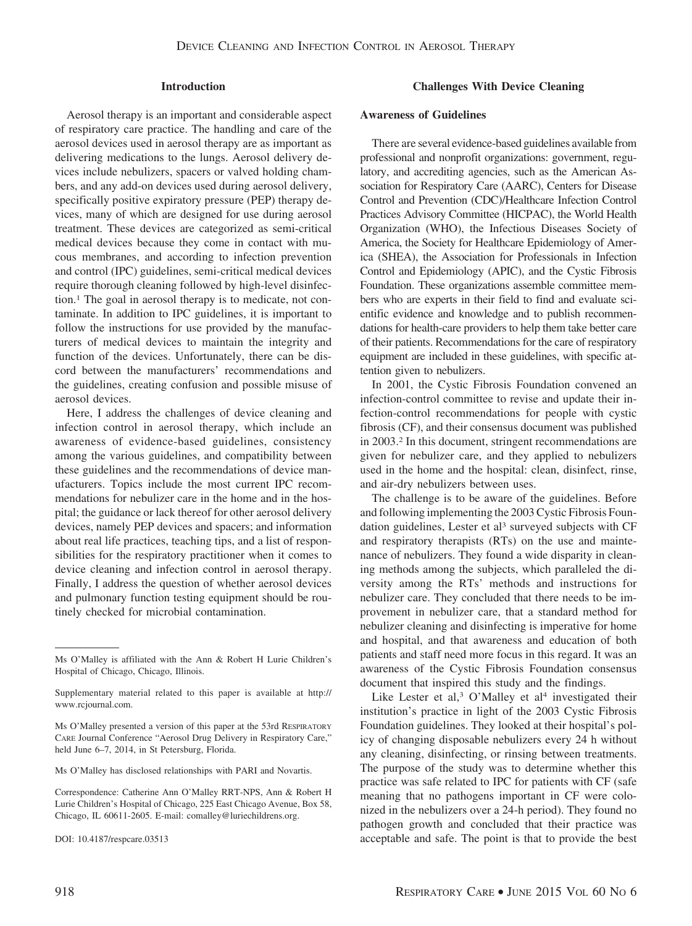#### **Introduction**

Aerosol therapy is an important and considerable aspect of respiratory care practice. The handling and care of the aerosol devices used in aerosol therapy are as important as delivering medications to the lungs. Aerosol delivery devices include nebulizers, spacers or valved holding chambers, and any add-on devices used during aerosol delivery, specifically positive expiratory pressure (PEP) therapy devices, many of which are designed for use during aerosol treatment. These devices are categorized as semi-critical medical devices because they come in contact with mucous membranes, and according to infection prevention and control (IPC) guidelines, semi-critical medical devices require thorough cleaning followed by high-level disinfection.1 The goal in aerosol therapy is to medicate, not contaminate. In addition to IPC guidelines, it is important to follow the instructions for use provided by the manufacturers of medical devices to maintain the integrity and function of the devices. Unfortunately, there can be discord between the manufacturers' recommendations and the guidelines, creating confusion and possible misuse of aerosol devices.

Here, I address the challenges of device cleaning and infection control in aerosol therapy, which include an awareness of evidence-based guidelines, consistency among the various guidelines, and compatibility between these guidelines and the recommendations of device manufacturers. Topics include the most current IPC recommendations for nebulizer care in the home and in the hospital; the guidance or lack thereof for other aerosol delivery devices, namely PEP devices and spacers; and information about real life practices, teaching tips, and a list of responsibilities for the respiratory practitioner when it comes to device cleaning and infection control in aerosol therapy. Finally, I address the question of whether aerosol devices and pulmonary function testing equipment should be routinely checked for microbial contamination.

#### **Challenges With Device Cleaning**

#### **Awareness of Guidelines**

There are several evidence-based guidelines available from professional and nonprofit organizations: government, regulatory, and accrediting agencies, such as the American Association for Respiratory Care (AARC), Centers for Disease Control and Prevention (CDC)/Healthcare Infection Control Practices Advisory Committee (HICPAC), the World Health Organization (WHO), the Infectious Diseases Society of America, the Society for Healthcare Epidemiology of America (SHEA), the Association for Professionals in Infection Control and Epidemiology (APIC), and the Cystic Fibrosis Foundation. These organizations assemble committee members who are experts in their field to find and evaluate scientific evidence and knowledge and to publish recommendations for health-care providers to help them take better care of their patients. Recommendations for the care of respiratory equipment are included in these guidelines, with specific attention given to nebulizers.

In 2001, the Cystic Fibrosis Foundation convened an infection-control committee to revise and update their infection-control recommendations for people with cystic fibrosis (CF), and their consensus document was published in 2003.2 In this document, stringent recommendations are given for nebulizer care, and they applied to nebulizers used in the home and the hospital: clean, disinfect, rinse, and air-dry nebulizers between uses.

The challenge is to be aware of the guidelines. Before and following implementing the 2003 Cystic Fibrosis Foundation guidelines, Lester et al<sup>3</sup> surveyed subjects with CF and respiratory therapists (RTs) on the use and maintenance of nebulizers. They found a wide disparity in cleaning methods among the subjects, which paralleled the diversity among the RTs' methods and instructions for nebulizer care. They concluded that there needs to be improvement in nebulizer care, that a standard method for nebulizer cleaning and disinfecting is imperative for home and hospital, and that awareness and education of both patients and staff need more focus in this regard. It was an awareness of the Cystic Fibrosis Foundation consensus document that inspired this study and the findings.

Like Lester et al,  $3$  O'Malley et al<sup>4</sup> investigated their institution's practice in light of the 2003 Cystic Fibrosis Foundation guidelines. They looked at their hospital's policy of changing disposable nebulizers every 24 h without any cleaning, disinfecting, or rinsing between treatments. The purpose of the study was to determine whether this practice was safe related to IPC for patients with CF (safe meaning that no pathogens important in CF were colonized in the nebulizers over a 24-h period). They found no pathogen growth and concluded that their practice was acceptable and safe. The point is that to provide the best

Ms O'Malley is affiliated with the Ann & Robert H Lurie Children's Hospital of Chicago, Chicago, Illinois.

Supplementary material related to this paper is available at http:// www.rcjournal.com.

Ms O'Malley presented a version of this paper at the 53rd RESPIRATORY CARE Journal Conference "Aerosol Drug Delivery in Respiratory Care," held June 6–7, 2014, in St Petersburg, Florida.

Ms O'Malley has disclosed relationships with PARI and Novartis.

Correspondence: Catherine Ann O'Malley RRT-NPS, Ann & Robert H Lurie Children's Hospital of Chicago, 225 East Chicago Avenue, Box 58, Chicago, IL 60611-2605. E-mail: comalley@luriechildrens.org.

DOI: 10.4187/respcare.03513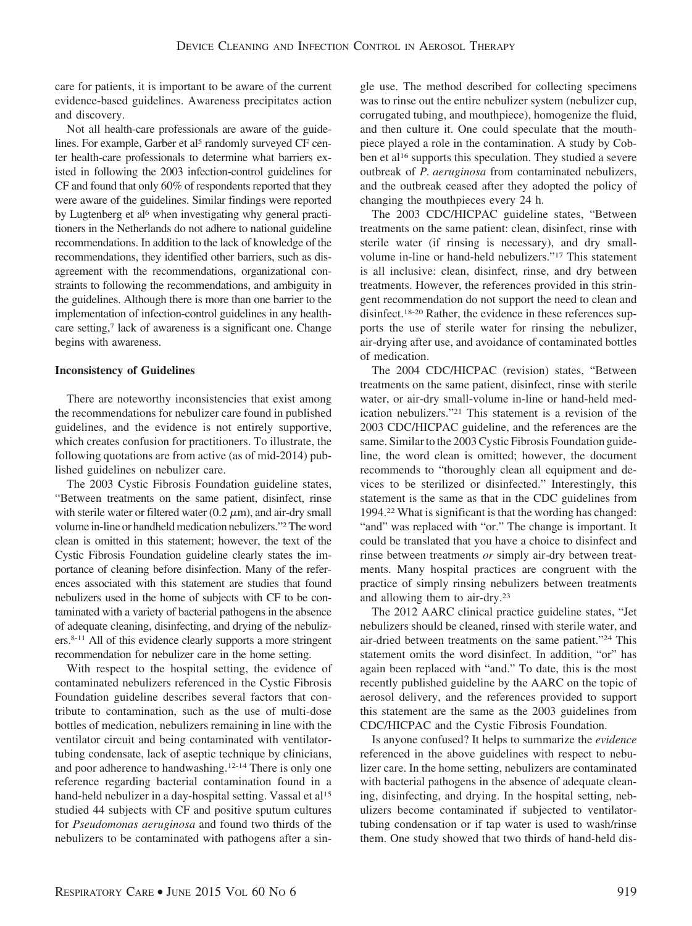care for patients, it is important to be aware of the current evidence-based guidelines. Awareness precipitates action and discovery.

Not all health-care professionals are aware of the guidelines. For example, Garber et al<sup>5</sup> randomly surveyed CF center health-care professionals to determine what barriers existed in following the 2003 infection-control guidelines for CF and found that only 60% of respondents reported that they were aware of the guidelines. Similar findings were reported by Lugtenberg et al<sup>6</sup> when investigating why general practitioners in the Netherlands do not adhere to national guideline recommendations. In addition to the lack of knowledge of the recommendations, they identified other barriers, such as disagreement with the recommendations, organizational constraints to following the recommendations, and ambiguity in the guidelines. Although there is more than one barrier to the implementation of infection-control guidelines in any healthcare setting,<sup>7</sup> lack of awareness is a significant one. Change begins with awareness.

## **Inconsistency of Guidelines**

There are noteworthy inconsistencies that exist among the recommendations for nebulizer care found in published guidelines, and the evidence is not entirely supportive, which creates confusion for practitioners. To illustrate, the following quotations are from active (as of mid-2014) published guidelines on nebulizer care.

The 2003 Cystic Fibrosis Foundation guideline states, "Between treatments on the same patient, disinfect, rinse with sterile water or filtered water  $(0.2 \mu m)$ , and air-dry small volume in-line or handheld medication nebulizers."<sup>2</sup> The word clean is omitted in this statement; however, the text of the Cystic Fibrosis Foundation guideline clearly states the importance of cleaning before disinfection. Many of the references associated with this statement are studies that found nebulizers used in the home of subjects with CF to be contaminated with a variety of bacterial pathogens in the absence of adequate cleaning, disinfecting, and drying of the nebulizers.8-11 All of this evidence clearly supports a more stringent recommendation for nebulizer care in the home setting.

With respect to the hospital setting, the evidence of contaminated nebulizers referenced in the Cystic Fibrosis Foundation guideline describes several factors that contribute to contamination, such as the use of multi-dose bottles of medication, nebulizers remaining in line with the ventilator circuit and being contaminated with ventilatortubing condensate, lack of aseptic technique by clinicians, and poor adherence to handwashing.12-14 There is only one reference regarding bacterial contamination found in a hand-held nebulizer in a day-hospital setting. Vassal et al<sup>15</sup> studied 44 subjects with CF and positive sputum cultures for *Pseudomonas aeruginosa* and found two thirds of the nebulizers to be contaminated with pathogens after a single use. The method described for collecting specimens was to rinse out the entire nebulizer system (nebulizer cup, corrugated tubing, and mouthpiece), homogenize the fluid, and then culture it. One could speculate that the mouthpiece played a role in the contamination. A study by Cobben et al<sup>16</sup> supports this speculation. They studied a severe outbreak of *P. aeruginosa* from contaminated nebulizers, and the outbreak ceased after they adopted the policy of changing the mouthpieces every 24 h.

The 2003 CDC/HICPAC guideline states, "Between treatments on the same patient: clean, disinfect, rinse with sterile water (if rinsing is necessary), and dry smallvolume in-line or hand-held nebulizers."17 This statement is all inclusive: clean, disinfect, rinse, and dry between treatments. However, the references provided in this stringent recommendation do not support the need to clean and disinfect.18-20 Rather, the evidence in these references supports the use of sterile water for rinsing the nebulizer, air-drying after use, and avoidance of contaminated bottles of medication.

The 2004 CDC/HICPAC (revision) states, "Between treatments on the same patient, disinfect, rinse with sterile water, or air-dry small-volume in-line or hand-held medication nebulizers."21 This statement is a revision of the 2003 CDC/HICPAC guideline, and the references are the same. Similar to the 2003 Cystic Fibrosis Foundation guideline, the word clean is omitted; however, the document recommends to "thoroughly clean all equipment and devices to be sterilized or disinfected." Interestingly, this statement is the same as that in the CDC guidelines from 1994.22 What is significant is that the wording has changed: "and" was replaced with "or." The change is important. It could be translated that you have a choice to disinfect and rinse between treatments *or* simply air-dry between treatments. Many hospital practices are congruent with the practice of simply rinsing nebulizers between treatments and allowing them to air-dry.23

The 2012 AARC clinical practice guideline states, "Jet nebulizers should be cleaned, rinsed with sterile water, and air-dried between treatments on the same patient."24 This statement omits the word disinfect. In addition, "or" has again been replaced with "and." To date, this is the most recently published guideline by the AARC on the topic of aerosol delivery, and the references provided to support this statement are the same as the 2003 guidelines from CDC/HICPAC and the Cystic Fibrosis Foundation.

Is anyone confused? It helps to summarize the *evidence* referenced in the above guidelines with respect to nebulizer care. In the home setting, nebulizers are contaminated with bacterial pathogens in the absence of adequate cleaning, disinfecting, and drying. In the hospital setting, nebulizers become contaminated if subjected to ventilatortubing condensation or if tap water is used to wash/rinse them. One study showed that two thirds of hand-held dis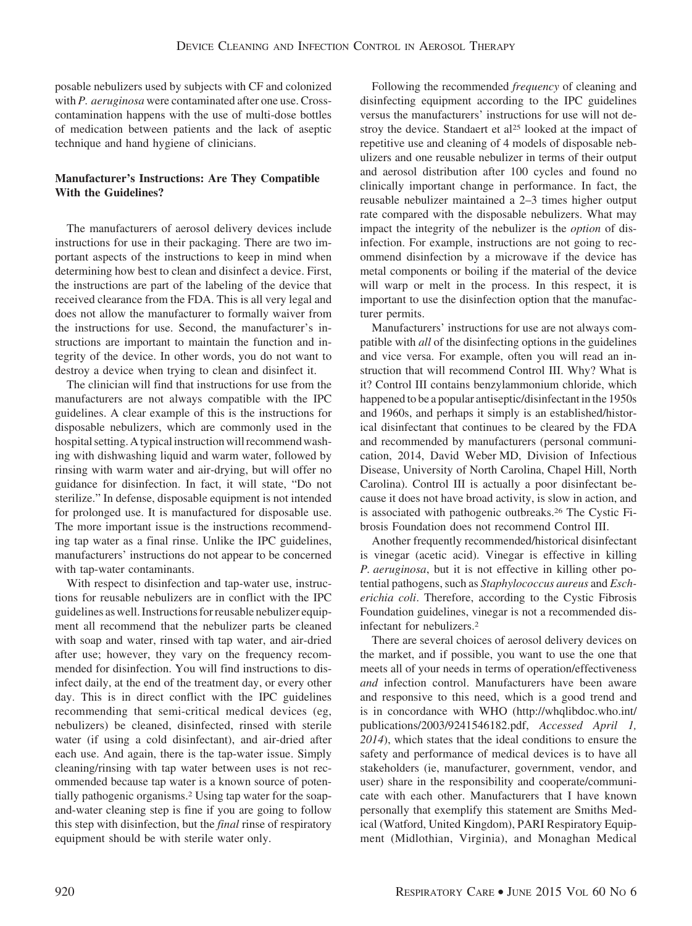posable nebulizers used by subjects with CF and colonized with *P. aeruginosa* were contaminated after one use. Crosscontamination happens with the use of multi-dose bottles of medication between patients and the lack of aseptic technique and hand hygiene of clinicians.

# **Manufacturer's Instructions: Are They Compatible With the Guidelines?**

The manufacturers of aerosol delivery devices include instructions for use in their packaging. There are two important aspects of the instructions to keep in mind when determining how best to clean and disinfect a device. First, the instructions are part of the labeling of the device that received clearance from the FDA. This is all very legal and does not allow the manufacturer to formally waiver from the instructions for use. Second, the manufacturer's instructions are important to maintain the function and integrity of the device. In other words, you do not want to destroy a device when trying to clean and disinfect it.

The clinician will find that instructions for use from the manufacturers are not always compatible with the IPC guidelines. A clear example of this is the instructions for disposable nebulizers, which are commonly used in the hospital setting. A typical instruction will recommend washing with dishwashing liquid and warm water, followed by rinsing with warm water and air-drying, but will offer no guidance for disinfection. In fact, it will state, "Do not sterilize." In defense, disposable equipment is not intended for prolonged use. It is manufactured for disposable use. The more important issue is the instructions recommending tap water as a final rinse. Unlike the IPC guidelines, manufacturers' instructions do not appear to be concerned with tap-water contaminants.

With respect to disinfection and tap-water use, instructions for reusable nebulizers are in conflict with the IPC guidelines as well. Instructions for reusable nebulizer equipment all recommend that the nebulizer parts be cleaned with soap and water, rinsed with tap water, and air-dried after use; however, they vary on the frequency recommended for disinfection. You will find instructions to disinfect daily, at the end of the treatment day, or every other day. This is in direct conflict with the IPC guidelines recommending that semi-critical medical devices (eg, nebulizers) be cleaned, disinfected, rinsed with sterile water (if using a cold disinfectant), and air-dried after each use. And again, there is the tap-water issue. Simply cleaning/rinsing with tap water between uses is not recommended because tap water is a known source of potentially pathogenic organisms.2 Using tap water for the soapand-water cleaning step is fine if you are going to follow this step with disinfection, but the *final* rinse of respiratory equipment should be with sterile water only.

Following the recommended *frequency* of cleaning and disinfecting equipment according to the IPC guidelines versus the manufacturers' instructions for use will not destroy the device. Standaert et al<sup>25</sup> looked at the impact of repetitive use and cleaning of 4 models of disposable nebulizers and one reusable nebulizer in terms of their output and aerosol distribution after 100 cycles and found no clinically important change in performance. In fact, the reusable nebulizer maintained a 2–3 times higher output rate compared with the disposable nebulizers. What may impact the integrity of the nebulizer is the *option* of disinfection. For example, instructions are not going to recommend disinfection by a microwave if the device has metal components or boiling if the material of the device will warp or melt in the process. In this respect, it is important to use the disinfection option that the manufacturer permits.

Manufacturers' instructions for use are not always compatible with *all* of the disinfecting options in the guidelines and vice versa. For example, often you will read an instruction that will recommend Control III. Why? What is it? Control III contains benzylammonium chloride, which happened to be a popular antiseptic/disinfectant in the 1950s and 1960s, and perhaps it simply is an established/historical disinfectant that continues to be cleared by the FDA and recommended by manufacturers (personal communication, 2014, David Weber MD, Division of Infectious Disease, University of North Carolina, Chapel Hill, North Carolina). Control III is actually a poor disinfectant because it does not have broad activity, is slow in action, and is associated with pathogenic outbreaks.26 The Cystic Fibrosis Foundation does not recommend Control III.

Another frequently recommended/historical disinfectant is vinegar (acetic acid). Vinegar is effective in killing *P. aeruginosa*, but it is not effective in killing other potential pathogens, such as *Staphylococcus aureus* and *Escherichia coli*. Therefore, according to the Cystic Fibrosis Foundation guidelines, vinegar is not a recommended disinfectant for nebulizers.2

There are several choices of aerosol delivery devices on the market, and if possible, you want to use the one that meets all of your needs in terms of operation/effectiveness *and* infection control. Manufacturers have been aware and responsive to this need, which is a good trend and is in concordance with WHO (http://whqlibdoc.who.int/ publications/2003/9241546182.pdf, *Accessed April 1, 2014*), which states that the ideal conditions to ensure the safety and performance of medical devices is to have all stakeholders (ie, manufacturer, government, vendor, and user) share in the responsibility and cooperate/communicate with each other. Manufacturers that I have known personally that exemplify this statement are Smiths Medical (Watford, United Kingdom), PARI Respiratory Equipment (Midlothian, Virginia), and Monaghan Medical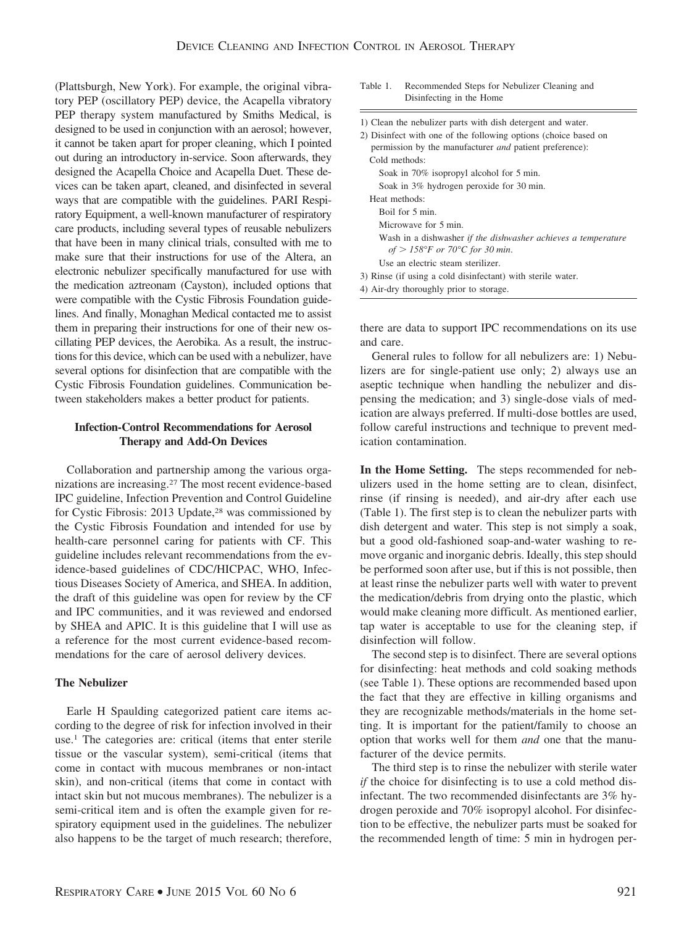(Plattsburgh, New York). For example, the original vibratory PEP (oscillatory PEP) device, the Acapella vibratory PEP therapy system manufactured by Smiths Medical, is designed to be used in conjunction with an aerosol; however, it cannot be taken apart for proper cleaning, which I pointed out during an introductory in-service. Soon afterwards, they designed the Acapella Choice and Acapella Duet. These devices can be taken apart, cleaned, and disinfected in several ways that are compatible with the guidelines. PARI Respiratory Equipment, a well-known manufacturer of respiratory care products, including several types of reusable nebulizers that have been in many clinical trials, consulted with me to make sure that their instructions for use of the Altera, an electronic nebulizer specifically manufactured for use with the medication aztreonam (Cayston), included options that were compatible with the Cystic Fibrosis Foundation guidelines. And finally, Monaghan Medical contacted me to assist them in preparing their instructions for one of their new oscillating PEP devices, the Aerobika. As a result, the instructions for this device, which can be used with a nebulizer, have several options for disinfection that are compatible with the Cystic Fibrosis Foundation guidelines. Communication between stakeholders makes a better product for patients.

# **Infection-Control Recommendations for Aerosol Therapy and Add-On Devices**

Collaboration and partnership among the various organizations are increasing.27 The most recent evidence-based IPC guideline, Infection Prevention and Control Guideline for Cystic Fibrosis: 2013 Update,<sup>28</sup> was commissioned by the Cystic Fibrosis Foundation and intended for use by health-care personnel caring for patients with CF. This guideline includes relevant recommendations from the evidence-based guidelines of CDC/HICPAC, WHO, Infectious Diseases Society of America, and SHEA. In addition, the draft of this guideline was open for review by the CF and IPC communities, and it was reviewed and endorsed by SHEA and APIC. It is this guideline that I will use as a reference for the most current evidence-based recommendations for the care of aerosol delivery devices.

## **The Nebulizer**

Earle H Spaulding categorized patient care items according to the degree of risk for infection involved in their use.1 The categories are: critical (items that enter sterile tissue or the vascular system), semi-critical (items that come in contact with mucous membranes or non-intact skin), and non-critical (items that come in contact with intact skin but not mucous membranes). The nebulizer is a semi-critical item and is often the example given for respiratory equipment used in the guidelines. The nebulizer also happens to be the target of much research; therefore,

| Table 1. | Recommended Steps for Nebulizer Cleaning and |  |
|----------|----------------------------------------------|--|
|          | Disinfecting in the Home                     |  |

| 1) Clean the nebulizer parts with dish detergent and water.     |  |  |
|-----------------------------------------------------------------|--|--|
| 2) Disinfect with one of the following options (choice based on |  |  |
| permission by the manufacturer <i>and</i> patient preference):  |  |  |
| Cold methods:                                                   |  |  |
| Soak in 70% isopropyl alcohol for 5 min.                        |  |  |
| Soak in 3% hydrogen peroxide for 30 min.                        |  |  |
| Heat methods:                                                   |  |  |
| Boil for 5 min.                                                 |  |  |
| Microwave for 5 min.                                            |  |  |
| Wash in a dishwasher if the dishwasher achieves a temperature   |  |  |
| of $>$ 158°F or 70°C for 30 min.                                |  |  |
| Use an electric steam sterilizer.                               |  |  |
| 3) Rinse (if using a cold disinfectant) with sterile water.     |  |  |
| 4) Air-dry thoroughly prior to storage.                         |  |  |

there are data to support IPC recommendations on its use and care.

General rules to follow for all nebulizers are: 1) Nebulizers are for single-patient use only; 2) always use an aseptic technique when handling the nebulizer and dispensing the medication; and 3) single-dose vials of medication are always preferred. If multi-dose bottles are used, follow careful instructions and technique to prevent medication contamination.

**In the Home Setting.** The steps recommended for nebulizers used in the home setting are to clean, disinfect, rinse (if rinsing is needed), and air-dry after each use (Table 1). The first step is to clean the nebulizer parts with dish detergent and water. This step is not simply a soak, but a good old-fashioned soap-and-water washing to remove organic and inorganic debris. Ideally, this step should be performed soon after use, but if this is not possible, then at least rinse the nebulizer parts well with water to prevent the medication/debris from drying onto the plastic, which would make cleaning more difficult. As mentioned earlier, tap water is acceptable to use for the cleaning step, if disinfection will follow.

The second step is to disinfect. There are several options for disinfecting: heat methods and cold soaking methods (see Table 1). These options are recommended based upon the fact that they are effective in killing organisms and they are recognizable methods/materials in the home setting. It is important for the patient/family to choose an option that works well for them *and* one that the manufacturer of the device permits.

The third step is to rinse the nebulizer with sterile water *if* the choice for disinfecting is to use a cold method disinfectant. The two recommended disinfectants are 3% hydrogen peroxide and 70% isopropyl alcohol. For disinfection to be effective, the nebulizer parts must be soaked for the recommended length of time: 5 min in hydrogen per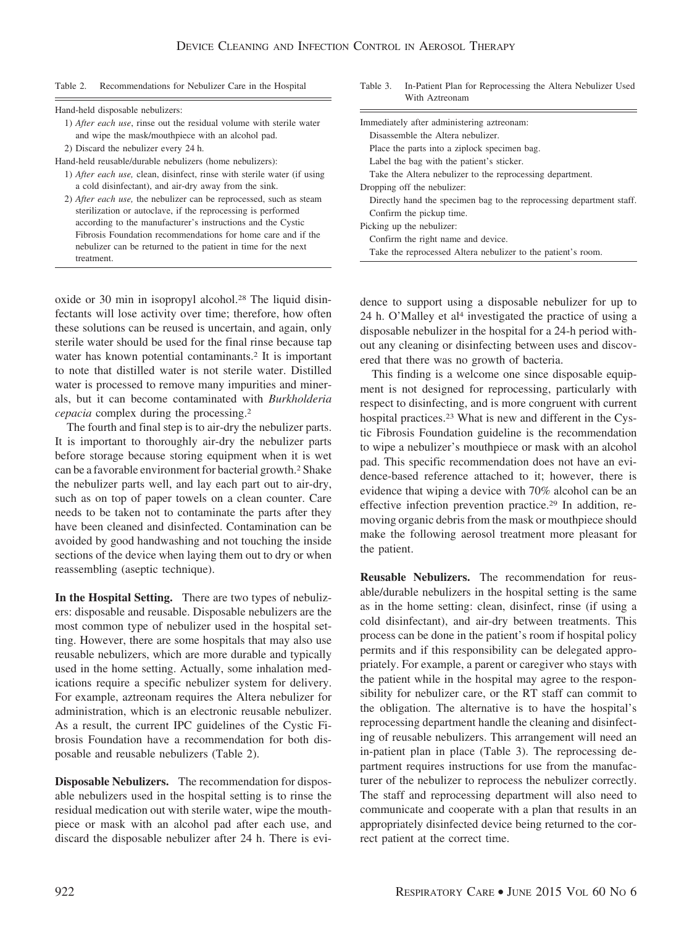Table 2. Recommendations for Nebulizer Care in the Hospital

| Immediately after administering aztreonam:                                                                                                                                                                                          |  |
|-------------------------------------------------------------------------------------------------------------------------------------------------------------------------------------------------------------------------------------|--|
| Disassemble the Altera nebulizer.                                                                                                                                                                                                   |  |
| Place the parts into a ziplock specimen bag.                                                                                                                                                                                        |  |
| Label the bag with the patient's sticker.                                                                                                                                                                                           |  |
| Take the Altera nebulizer to the reprocessing department.                                                                                                                                                                           |  |
| Dropping off the nebulizer:                                                                                                                                                                                                         |  |
| Directly hand the specimen bag to the reprocessing department staff.<br>Confirm the pickup time.<br>Picking up the nebulizer:<br>Confirm the right name and device.<br>Take the reprocessed Altera nebulizer to the patient's room. |  |
|                                                                                                                                                                                                                                     |  |

oxide or 30 min in isopropyl alcohol.28 The liquid disinfectants will lose activity over time; therefore, how often these solutions can be reused is uncertain, and again, only sterile water should be used for the final rinse because tap water has known potential contaminants.<sup>2</sup> It is important to note that distilled water is not sterile water. Distilled water is processed to remove many impurities and minerals, but it can become contaminated with *Burkholderia cepacia* complex during the processing.2

The fourth and final step is to air-dry the nebulizer parts. It is important to thoroughly air-dry the nebulizer parts before storage because storing equipment when it is wet can be a favorable environment for bacterial growth.2 Shake the nebulizer parts well, and lay each part out to air-dry, such as on top of paper towels on a clean counter. Care needs to be taken not to contaminate the parts after they have been cleaned and disinfected. Contamination can be avoided by good handwashing and not touching the inside sections of the device when laying them out to dry or when reassembling (aseptic technique).

**In the Hospital Setting.** There are two types of nebulizers: disposable and reusable. Disposable nebulizers are the most common type of nebulizer used in the hospital setting. However, there are some hospitals that may also use reusable nebulizers, which are more durable and typically used in the home setting. Actually, some inhalation medications require a specific nebulizer system for delivery. For example, aztreonam requires the Altera nebulizer for administration, which is an electronic reusable nebulizer. As a result, the current IPC guidelines of the Cystic Fibrosis Foundation have a recommendation for both disposable and reusable nebulizers (Table 2).

**Disposable Nebulizers.** The recommendation for disposable nebulizers used in the hospital setting is to rinse the residual medication out with sterile water, wipe the mouthpiece or mask with an alcohol pad after each use, and discard the disposable nebulizer after 24 h. There is evi-

dence to support using a disposable nebulizer for up to 24 h. O'Malley et al<sup>4</sup> investigated the practice of using a disposable nebulizer in the hospital for a 24-h period without any cleaning or disinfecting between uses and discovered that there was no growth of bacteria.

Table 3. In-Patient Plan for Reprocessing the Altera Nebulizer Used

With Aztreonam

This finding is a welcome one since disposable equipment is not designed for reprocessing, particularly with respect to disinfecting, and is more congruent with current hospital practices.<sup>23</sup> What is new and different in the Cystic Fibrosis Foundation guideline is the recommendation to wipe a nebulizer's mouthpiece or mask with an alcohol pad. This specific recommendation does not have an evidence-based reference attached to it; however, there is evidence that wiping a device with 70% alcohol can be an effective infection prevention practice.29 In addition, removing organic debris from the mask or mouthpiece should make the following aerosol treatment more pleasant for the patient.

**Reusable Nebulizers.** The recommendation for reusable/durable nebulizers in the hospital setting is the same as in the home setting: clean, disinfect, rinse (if using a cold disinfectant), and air-dry between treatments. This process can be done in the patient's room if hospital policy permits and if this responsibility can be delegated appropriately. For example, a parent or caregiver who stays with the patient while in the hospital may agree to the responsibility for nebulizer care, or the RT staff can commit to the obligation. The alternative is to have the hospital's reprocessing department handle the cleaning and disinfecting of reusable nebulizers. This arrangement will need an in-patient plan in place (Table 3). The reprocessing department requires instructions for use from the manufacturer of the nebulizer to reprocess the nebulizer correctly. The staff and reprocessing department will also need to communicate and cooperate with a plan that results in an appropriately disinfected device being returned to the correct patient at the correct time.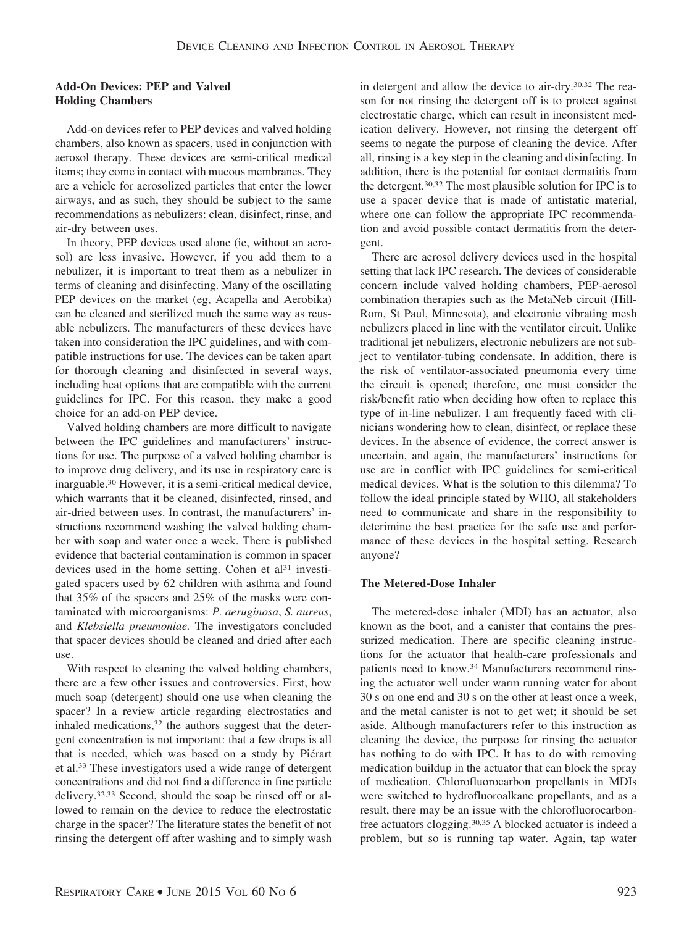# **Add-On Devices: PEP and Valved Holding Chambers**

Add-on devices refer to PEP devices and valved holding chambers, also known as spacers, used in conjunction with aerosol therapy. These devices are semi-critical medical items; they come in contact with mucous membranes. They are a vehicle for aerosolized particles that enter the lower airways, and as such, they should be subject to the same recommendations as nebulizers: clean, disinfect, rinse, and air-dry between uses.

In theory, PEP devices used alone (ie, without an aerosol) are less invasive. However, if you add them to a nebulizer, it is important to treat them as a nebulizer in terms of cleaning and disinfecting. Many of the oscillating PEP devices on the market (eg, Acapella and Aerobika) can be cleaned and sterilized much the same way as reusable nebulizers. The manufacturers of these devices have taken into consideration the IPC guidelines, and with compatible instructions for use. The devices can be taken apart for thorough cleaning and disinfected in several ways, including heat options that are compatible with the current guidelines for IPC. For this reason, they make a good choice for an add-on PEP device.

Valved holding chambers are more difficult to navigate between the IPC guidelines and manufacturers' instructions for use. The purpose of a valved holding chamber is to improve drug delivery, and its use in respiratory care is inarguable.30 However, it is a semi-critical medical device, which warrants that it be cleaned, disinfected, rinsed, and air-dried between uses. In contrast, the manufacturers' instructions recommend washing the valved holding chamber with soap and water once a week. There is published evidence that bacterial contamination is common in spacer devices used in the home setting. Cohen et al<sup>31</sup> investigated spacers used by 62 children with asthma and found that 35% of the spacers and 25% of the masks were contaminated with microorganisms: *P. aeruginosa*, *S. aureus*, and *Klebsiella pneumoniae.* The investigators concluded that spacer devices should be cleaned and dried after each use.

With respect to cleaning the valved holding chambers, there are a few other issues and controversies. First, how much soap (detergent) should one use when cleaning the spacer? In a review article regarding electrostatics and inhaled medications,<sup>32</sup> the authors suggest that the detergent concentration is not important: that a few drops is all that is needed, which was based on a study by Piérart et al.33 These investigators used a wide range of detergent concentrations and did not find a difference in fine particle delivery.32,33 Second, should the soap be rinsed off or allowed to remain on the device to reduce the electrostatic charge in the spacer? The literature states the benefit of not rinsing the detergent off after washing and to simply wash

in detergent and allow the device to air-dry.30,32 The reason for not rinsing the detergent off is to protect against electrostatic charge, which can result in inconsistent medication delivery. However, not rinsing the detergent off seems to negate the purpose of cleaning the device. After all, rinsing is a key step in the cleaning and disinfecting. In addition, there is the potential for contact dermatitis from the detergent.30,32 The most plausible solution for IPC is to use a spacer device that is made of antistatic material, where one can follow the appropriate IPC recommendation and avoid possible contact dermatitis from the detergent.

There are aerosol delivery devices used in the hospital setting that lack IPC research. The devices of considerable concern include valved holding chambers, PEP-aerosol combination therapies such as the MetaNeb circuit (Hill-Rom, St Paul, Minnesota), and electronic vibrating mesh nebulizers placed in line with the ventilator circuit. Unlike traditional jet nebulizers, electronic nebulizers are not subject to ventilator-tubing condensate. In addition, there is the risk of ventilator-associated pneumonia every time the circuit is opened; therefore, one must consider the risk/benefit ratio when deciding how often to replace this type of in-line nebulizer. I am frequently faced with clinicians wondering how to clean, disinfect, or replace these devices. In the absence of evidence, the correct answer is uncertain, and again, the manufacturers' instructions for use are in conflict with IPC guidelines for semi-critical medical devices. What is the solution to this dilemma? To follow the ideal principle stated by WHO, all stakeholders need to communicate and share in the responsibility to deterimine the best practice for the safe use and performance of these devices in the hospital setting. Research anyone?

## **The Metered-Dose Inhaler**

The metered-dose inhaler (MDI) has an actuator, also known as the boot, and a canister that contains the pressurized medication. There are specific cleaning instructions for the actuator that health-care professionals and patients need to know.34 Manufacturers recommend rinsing the actuator well under warm running water for about 30 s on one end and 30 s on the other at least once a week, and the metal canister is not to get wet; it should be set aside. Although manufacturers refer to this instruction as cleaning the device, the purpose for rinsing the actuator has nothing to do with IPC. It has to do with removing medication buildup in the actuator that can block the spray of medication. Chlorofluorocarbon propellants in MDIs were switched to hydrofluoroalkane propellants, and as a result, there may be an issue with the chlorofluorocarbonfree actuators clogging.30,35 A blocked actuator is indeed a problem, but so is running tap water. Again, tap water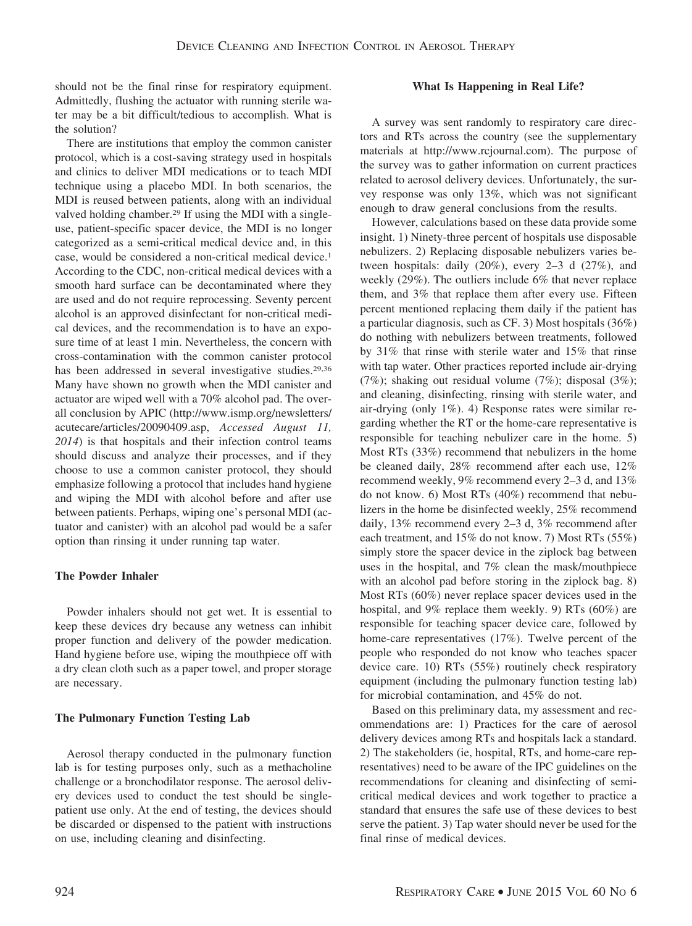should not be the final rinse for respiratory equipment. Admittedly, flushing the actuator with running sterile water may be a bit difficult/tedious to accomplish. What is the solution?

There are institutions that employ the common canister protocol, which is a cost-saving strategy used in hospitals and clinics to deliver MDI medications or to teach MDI technique using a placebo MDI. In both scenarios, the MDI is reused between patients, along with an individual valved holding chamber.29 If using the MDI with a singleuse, patient-specific spacer device, the MDI is no longer categorized as a semi-critical medical device and, in this case, would be considered a non-critical medical device.1 According to the CDC, non-critical medical devices with a smooth hard surface can be decontaminated where they are used and do not require reprocessing. Seventy percent alcohol is an approved disinfectant for non-critical medical devices, and the recommendation is to have an exposure time of at least 1 min. Nevertheless, the concern with cross-contamination with the common canister protocol has been addressed in several investigative studies.<sup>29,36</sup> Many have shown no growth when the MDI canister and actuator are wiped well with a 70% alcohol pad. The overall conclusion by APIC [\(http://www.ismp.org/newsletters/](http://www.ismp.org/newsletters/acutecare/articles/20090409.asp) [acutecare/articles/20090409.asp,](http://www.ismp.org/newsletters/acutecare/articles/20090409.asp) *Accessed August 11, 2014*) is that hospitals and their infection control teams should discuss and analyze their processes, and if they choose to use a common canister protocol, they should emphasize following a protocol that includes hand hygiene and wiping the MDI with alcohol before and after use between patients. Perhaps, wiping one's personal MDI (actuator and canister) with an alcohol pad would be a safer option than rinsing it under running tap water.

# **The Powder Inhaler**

Powder inhalers should not get wet. It is essential to keep these devices dry because any wetness can inhibit proper function and delivery of the powder medication. Hand hygiene before use, wiping the mouthpiece off with a dry clean cloth such as a paper towel, and proper storage are necessary.

# **The Pulmonary Function Testing Lab**

Aerosol therapy conducted in the pulmonary function lab is for testing purposes only, such as a methacholine challenge or a bronchodilator response. The aerosol delivery devices used to conduct the test should be singlepatient use only. At the end of testing, the devices should be discarded or dispensed to the patient with instructions on use, including cleaning and disinfecting.

## **What Is Happening in Real Life?**

A survey was sent randomly to respiratory care directors and RTs across the country (see the supplementary materials at http://www.rcjournal.com). The purpose of the survey was to gather information on current practices related to aerosol delivery devices. Unfortunately, the survey response was only 13%, which was not significant enough to draw general conclusions from the results.

However, calculations based on these data provide some insight. 1) Ninety-three percent of hospitals use disposable nebulizers. 2) Replacing disposable nebulizers varies between hospitals: daily (20%), every 2–3 d (27%), and weekly (29%). The outliers include 6% that never replace them, and 3% that replace them after every use. Fifteen percent mentioned replacing them daily if the patient has a particular diagnosis, such as CF. 3) Most hospitals (36%) do nothing with nebulizers between treatments, followed by 31% that rinse with sterile water and 15% that rinse with tap water. Other practices reported include air-drying (7%); shaking out residual volume (7%); disposal (3%); and cleaning, disinfecting, rinsing with sterile water, and air-drying (only 1%). 4) Response rates were similar regarding whether the RT or the home-care representative is responsible for teaching nebulizer care in the home. 5) Most RTs (33%) recommend that nebulizers in the home be cleaned daily, 28% recommend after each use, 12% recommend weekly, 9% recommend every 2–3 d, and 13% do not know. 6) Most RTs (40%) recommend that nebulizers in the home be disinfected weekly, 25% recommend daily, 13% recommend every 2–3 d, 3% recommend after each treatment, and 15% do not know. 7) Most RTs (55%) simply store the spacer device in the ziplock bag between uses in the hospital, and 7% clean the mask/mouthpiece with an alcohol pad before storing in the ziplock bag. 8) Most RTs (60%) never replace spacer devices used in the hospital, and 9% replace them weekly. 9) RTs (60%) are responsible for teaching spacer device care, followed by home-care representatives (17%). Twelve percent of the people who responded do not know who teaches spacer device care. 10) RTs (55%) routinely check respiratory equipment (including the pulmonary function testing lab) for microbial contamination, and 45% do not.

Based on this preliminary data, my assessment and recommendations are: 1) Practices for the care of aerosol delivery devices among RTs and hospitals lack a standard. 2) The stakeholders (ie, hospital, RTs, and home-care representatives) need to be aware of the IPC guidelines on the recommendations for cleaning and disinfecting of semicritical medical devices and work together to practice a standard that ensures the safe use of these devices to best serve the patient. 3) Tap water should never be used for the final rinse of medical devices.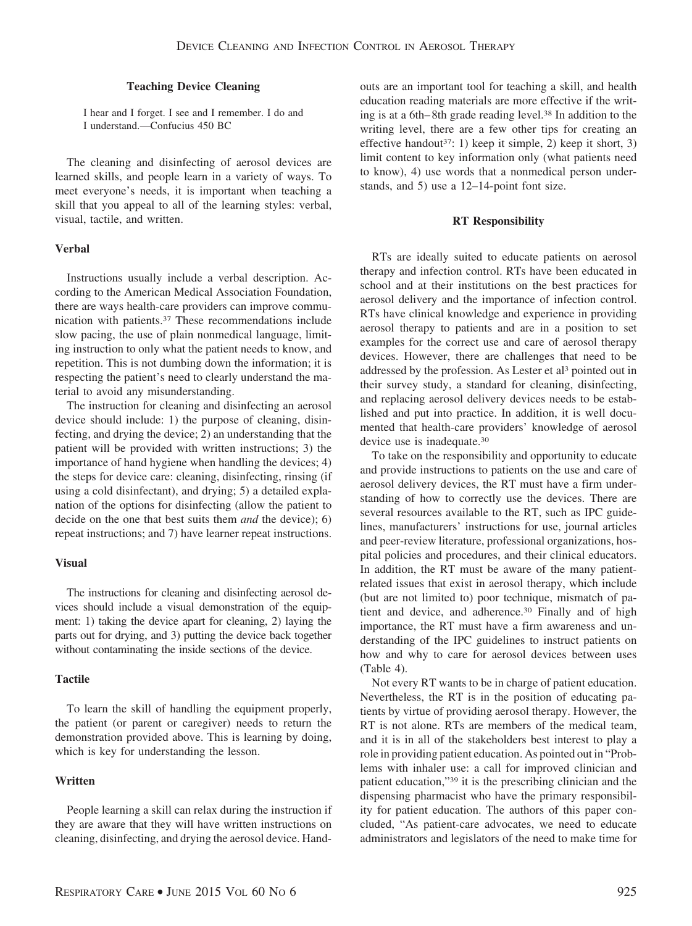## **Teaching Device Cleaning**

I hear and I forget. I see and I remember. I do and I understand.—Confucius 450 BC

The cleaning and disinfecting of aerosol devices are learned skills, and people learn in a variety of ways. To meet everyone's needs, it is important when teaching a skill that you appeal to all of the learning styles: verbal, visual, tactile, and written.

## **Verbal**

Instructions usually include a verbal description. According to the American Medical Association Foundation, there are ways health-care providers can improve communication with patients.37 These recommendations include slow pacing, the use of plain nonmedical language, limiting instruction to only what the patient needs to know, and repetition. This is not dumbing down the information; it is respecting the patient's need to clearly understand the material to avoid any misunderstanding.

The instruction for cleaning and disinfecting an aerosol device should include: 1) the purpose of cleaning, disinfecting, and drying the device; 2) an understanding that the patient will be provided with written instructions; 3) the importance of hand hygiene when handling the devices; 4) the steps for device care: cleaning, disinfecting, rinsing (if using a cold disinfectant), and drying; 5) a detailed explanation of the options for disinfecting (allow the patient to decide on the one that best suits them *and* the device); 6) repeat instructions; and 7) have learner repeat instructions.

#### **Visual**

The instructions for cleaning and disinfecting aerosol devices should include a visual demonstration of the equipment: 1) taking the device apart for cleaning, 2) laying the parts out for drying, and 3) putting the device back together without contaminating the inside sections of the device.

#### **Tactile**

To learn the skill of handling the equipment properly, the patient (or parent or caregiver) needs to return the demonstration provided above. This is learning by doing, which is key for understanding the lesson.

#### **Written**

People learning a skill can relax during the instruction if they are aware that they will have written instructions on cleaning, disinfecting, and drying the aerosol device. Handouts are an important tool for teaching a skill, and health education reading materials are more effective if the writing is at a 6th– 8th grade reading level.38 In addition to the writing level, there are a few other tips for creating an effective handout<sup>37</sup>: 1) keep it simple, 2) keep it short, 3) limit content to key information only (what patients need to know), 4) use words that a nonmedical person understands, and 5) use a 12–14-point font size.

#### **RT Responsibility**

RTs are ideally suited to educate patients on aerosol therapy and infection control. RTs have been educated in school and at their institutions on the best practices for aerosol delivery and the importance of infection control. RTs have clinical knowledge and experience in providing aerosol therapy to patients and are in a position to set examples for the correct use and care of aerosol therapy devices. However, there are challenges that need to be addressed by the profession. As Lester et al<sup>3</sup> pointed out in their survey study, a standard for cleaning, disinfecting, and replacing aerosol delivery devices needs to be established and put into practice. In addition, it is well documented that health-care providers' knowledge of aerosol device use is inadequate.30

To take on the responsibility and opportunity to educate and provide instructions to patients on the use and care of aerosol delivery devices, the RT must have a firm understanding of how to correctly use the devices. There are several resources available to the RT, such as IPC guidelines, manufacturers' instructions for use, journal articles and peer-review literature, professional organizations, hospital policies and procedures, and their clinical educators. In addition, the RT must be aware of the many patientrelated issues that exist in aerosol therapy, which include (but are not limited to) poor technique, mismatch of patient and device, and adherence.<sup>30</sup> Finally and of high importance, the RT must have a firm awareness and understanding of the IPC guidelines to instruct patients on how and why to care for aerosol devices between uses (Table 4).

Not every RT wants to be in charge of patient education. Nevertheless, the RT is in the position of educating patients by virtue of providing aerosol therapy. However, the RT is not alone. RTs are members of the medical team, and it is in all of the stakeholders best interest to play a role in providing patient education. As pointed out in "Problems with inhaler use: a call for improved clinician and patient education,"39 it is the prescribing clinician and the dispensing pharmacist who have the primary responsibility for patient education. The authors of this paper concluded, "As patient-care advocates, we need to educate administrators and legislators of the need to make time for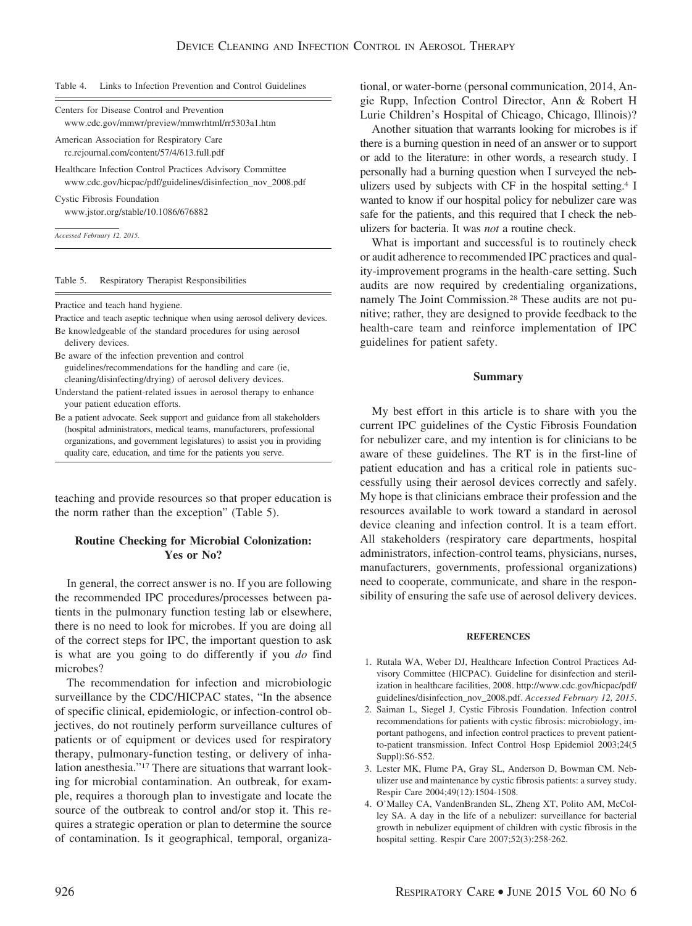#### Table 4. Links to Infection Prevention and Control Guidelines

| Centers for Disease Control and Prevention     |
|------------------------------------------------|
| www.cdc.gov/mmwr/preview/mmwrhtml/rr5303a1.htm |
| American Association for Respiratory Care      |

rc.rcjournal.com/content/57/4/613.full.pdf

Healthcare Infection Control Practices Advisory Committee www.cdc.gov/hicpac/pdf/guidelines/disinfection\_nov\_2008.pdf

Cystic Fibrosis Foundation www.jstor.org/stable/10.1086/676882

*Accessed February 12, 2015.*

#### Table 5. Respiratory Therapist Responsibilities

Practice and teach hand hygiene.

Practice and teach aseptic technique when using aerosol delivery devices.

- Be knowledgeable of the standard procedures for using aerosol delivery devices.
- Be aware of the infection prevention and control guidelines/recommendations for the handling and care (ie, cleaning/disinfecting/drying) of aerosol delivery devices.
- Understand the patient-related issues in aerosol therapy to enhance your patient education efforts.
- Be a patient advocate. Seek support and guidance from all stakeholders (hospital administrators, medical teams, manufacturers, professional organizations, and government legislatures) to assist you in providing quality care, education, and time for the patients you serve.

teaching and provide resources so that proper education is the norm rather than the exception" (Table 5).

# **Routine Checking for Microbial Colonization: Yes or No?**

In general, the correct answer is no. If you are following the recommended IPC procedures/processes between patients in the pulmonary function testing lab or elsewhere, there is no need to look for microbes. If you are doing all of the correct steps for IPC, the important question to ask is what are you going to do differently if you *do* find microbes?

The recommendation for infection and microbiologic surveillance by the CDC/HICPAC states, "In the absence of specific clinical, epidemiologic, or infection-control objectives, do not routinely perform surveillance cultures of patients or of equipment or devices used for respiratory therapy, pulmonary-function testing, or delivery of inhalation anesthesia."17 There are situations that warrant looking for microbial contamination. An outbreak, for example, requires a thorough plan to investigate and locate the source of the outbreak to control and/or stop it. This requires a strategic operation or plan to determine the source of contamination. Is it geographical, temporal, organizational, or water-borne (personal communication, 2014, Angie Rupp, Infection Control Director, Ann & Robert H Lurie Children's Hospital of Chicago, Chicago, Illinois)?

Another situation that warrants looking for microbes is if there is a burning question in need of an answer or to support or add to the literature: in other words, a research study. I personally had a burning question when I surveyed the nebulizers used by subjects with CF in the hospital setting.4 I wanted to know if our hospital policy for nebulizer care was safe for the patients, and this required that I check the nebulizers for bacteria. It was *not* a routine check.

What is important and successful is to routinely check or audit adherence to recommended IPC practices and quality-improvement programs in the health-care setting. Such audits are now required by credentialing organizations, namely The Joint Commission.28 These audits are not punitive; rather, they are designed to provide feedback to the health-care team and reinforce implementation of IPC guidelines for patient safety.

#### **Summary**

My best effort in this article is to share with you the current IPC guidelines of the Cystic Fibrosis Foundation for nebulizer care, and my intention is for clinicians to be aware of these guidelines. The RT is in the first-line of patient education and has a critical role in patients successfully using their aerosol devices correctly and safely. My hope is that clinicians embrace their profession and the resources available to work toward a standard in aerosol device cleaning and infection control. It is a team effort. All stakeholders (respiratory care departments, hospital administrators, infection-control teams, physicians, nurses, manufacturers, governments, professional organizations) need to cooperate, communicate, and share in the responsibility of ensuring the safe use of aerosol delivery devices.

#### **REFERENCES**

- 1. Rutala WA, Weber DJ, Healthcare Infection Control Practices Advisory Committee (HICPAC). Guideline for disinfection and sterilization in healthcare facilities, 2008. http://www.cdc.gov/hicpac/pdf/ guidelines/disinfection\_nov\_2008.pdf. *Accessed February 12, 2015*.
- 2. Saiman L, Siegel J, Cystic Fibrosis Foundation. Infection control recommendations for patients with cystic fibrosis: microbiology, important pathogens, and infection control practices to prevent patientto-patient transmission. Infect Control Hosp Epidemiol 2003;24(5 Suppl):S6-S52.
- 3. Lester MK, Flume PA, Gray SL, Anderson D, Bowman CM. Nebulizer use and maintenance by cystic fibrosis patients: a survey study. Respir Care 2004;49(12):1504-1508.
- 4. O'Malley CA, VandenBranden SL, Zheng XT, Polito AM, McColley SA. A day in the life of a nebulizer: surveillance for bacterial growth in nebulizer equipment of children with cystic fibrosis in the hospital setting. Respir Care 2007;52(3):258-262.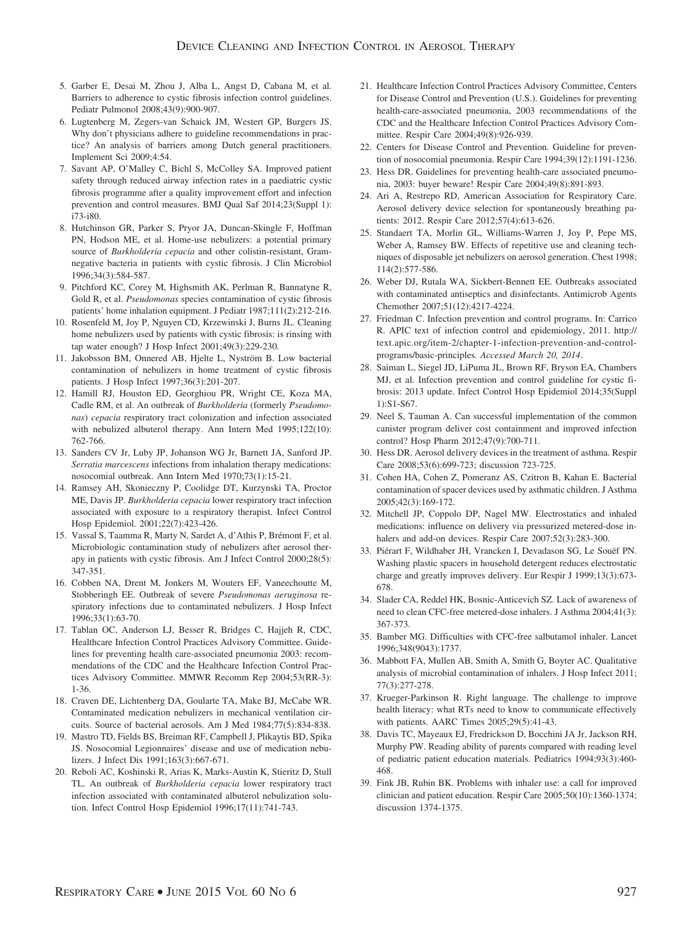- 5. Garber E, Desai M, Zhou J, Alba L, Angst D, Cabana M, et al. Barriers to adherence to cystic fibrosis infection control guidelines. Pediatr Pulmonol 2008;43(9):900-907.
- 6. Lugtenberg M, Zegers-van Schaick JM, Westert GP, Burgers JS. Why don't physicians adhere to guideline recommendations in practice? An analysis of barriers among Dutch general practitioners. Implement Sci 2009;4:54.
- 7. Savant AP, O'Malley C, Bichl S, McColley SA. Improved patient safety through reduced airway infection rates in a paediatric cystic fibrosis programme after a quality improvement effort and infection prevention and control measures. BMJ Qual Saf 2014;23(Suppl 1): i73-i80.
- 8. Hutchinson GR, Parker S, Pryor JA, Duncan-Skingle F, Hoffman PN, Hodson ME, et al. Home-use nebulizers: a potential primary source of *Burkholderia cepacia* and other colistin-resistant, Gramnegative bacteria in patients with cystic fibrosis. J Clin Microbiol 1996;34(3):584-587.
- 9. Pitchford KC, Corey M, Highsmith AK, Perlman R, Bannatyne R, Gold R, et al. *Pseudomonas* species contamination of cystic fibrosis patients' home inhalation equipment. J Pediatr 1987;111(2):212-216.
- 10. Rosenfeld M, Joy P, Nguyen CD, Krzewinski J, Burns JL. Cleaning home nebulizers used by patients with cystic fibrosis: is rinsing with tap water enough? J Hosp Infect 2001;49(3):229-230.
- 11. Jakobsson BM, Onnered AB, Hjelte L, Nyström B. Low bacterial contamination of nebulizers in home treatment of cystic fibrosis patients. J Hosp Infect 1997;36(3):201-207.
- 12. Hamill RJ, Houston ED, Georghiou PR, Wright CE, Koza MA, Cadle RM, et al. An outbreak of *Burkholderia* (formerly *Pseudomonas*) *cepacia* respiratory tract colonization and infection associated with nebulized albuterol therapy. Ann Intern Med 1995;122(10): 762-766.
- 13. Sanders CV Jr, Luby JP, Johanson WG Jr, Barnett JA, Sanford JP. *Serratia marcescens* infections from inhalation therapy medications: nosocomial outbreak. Ann Intern Med 1970;73(1):15-21.
- 14. Ramsey AH, Skonieczny P, Coolidge DT, Kurzynski TA, Proctor ME, Davis JP. *Burkholderia cepacia* lower respiratory tract infection associated with exposure to a respiratory therapist. Infect Control Hosp Epidemiol. 2001;22(7):423-426.
- 15. Vassal S, Taamma R, Marty N, Sardet A, d'Athis P, Brémont F, et al. Microbiologic contamination study of nebulizers after aerosol therapy in patients with cystic fibrosis. Am J Infect Control 2000;28(5): 347-351.
- 16. Cobben NA, Drent M, Jonkers M, Wouters EF, Vaneechoutte M, Stobberingh EE. Outbreak of severe *Pseudomonas aeruginosa* respiratory infections due to contaminated nebulizers. J Hosp Infect 1996;33(1):63-70.
- 17. Tablan OC, Anderson LJ, Besser R, Bridges C, Hajjeh R, CDC, Healthcare Infection Control Practices Advisory Committee. Guidelines for preventing health care-associated pneumonia 2003: recommendations of the CDC and the Healthcare Infection Control Practices Advisory Committee. MMWR Recomm Rep 2004;53(RR-3): 1-36.
- 18. Craven DE, Lichtenberg DA, Goularte TA, Make BJ, McCabe WR. Contaminated medication nebulizers in mechanical ventilation circuits. Source of bacterial aerosols. Am J Med 1984;77(5):834-838.
- 19. Mastro TD, Fields BS, Breiman RF, Campbell J, Plikaytis BD, Spika JS. Nosocomial Legionnaires' disease and use of medication nebulizers. J Infect Dis 1991;163(3):667-671.
- 20. Reboli AC, Koshinski R, Arias K, Marks-Austin K, Stieritz D, Stull TL. An outbreak of *Burkholderia cepacia* lower respiratory tract infection associated with contaminated albuterol nebulization solution. Infect Control Hosp Epidemiol 1996;17(11):741-743.
- 21. Healthcare Infection Control Practices Advisory Committee, Centers for Disease Control and Prevention (U.S.). Guidelines for preventing health-care-associated pneumonia, 2003 recommendations of the CDC and the Healthcare Infection Control Practices Advisory Committee. Respir Care 2004;49(8):926-939.
- 22. Centers for Disease Control and Prevention. Guideline for prevention of nosocomial pneumonia. Respir Care 1994;39(12):1191-1236.
- 23. Hess DR. Guidelines for preventing health-care associated pneumonia, 2003: buyer beware! Respir Care 2004;49(8):891-893.
- 24. Ari A, Restrepo RD, American Association for Respiratory Care. Aerosol delivery device selection for spontaneously breathing patients: 2012. Respir Care 2012;57(4):613-626.
- 25. Standaert TA, Morlin GL, Williams-Warren J, Joy P, Pepe MS, Weber A, Ramsey BW. Effects of repetitive use and cleaning techniques of disposable jet nebulizers on aerosol generation. Chest 1998; 114(2):577-586.
- 26. Weber DJ, Rutala WA, Sickbert-Bennett EE. Outbreaks associated with contaminated antiseptics and disinfectants. Antimicrob Agents Chemother 2007;51(12):4217-4224.
- 27. Friedman C. Infection prevention and control programs. In: Carrico R. APIC text of infection control and epidemiology, 2011. http:// text.apic.org/item-2/chapter-1-infection-prevention-and-controlprograms/basic-principles*. Accessed March 20, 2014*.
- 28. Saiman L, Siegel JD, LiPuma JL, Brown RF, Bryson EA, Chambers MJ, et al. Infection prevention and control guideline for cystic fibrosis: 2013 update. Infect Control Hosp Epidemiol 2014;35(Suppl 1):S1-S67.
- 29. Neel S, Tauman A. Can successful implementation of the common canister program deliver cost containment and improved infection control? Hosp Pharm 2012;47(9):700-711.
- 30. Hess DR. Aerosol delivery devices in the treatment of asthma. Respir Care 2008;53(6):699-723; discussion 723-725.
- 31. Cohen HA, Cohen Z, Pomeranz AS, Czitron B, Kahan E. Bacterial contamination of spacer devices used by asthmatic children. J Asthma 2005;42(3):169-172.
- 32. Mitchell JP, Coppolo DP, Nagel MW. Electrostatics and inhaled medications: influence on delivery via pressurized metered-dose inhalers and add-on devices. Respir Care 2007;52(3):283-300.
- 33. Piérart F, Wildhaber JH, Vrancken I, Devadason SG, Le Souëf PN. Washing plastic spacers in household detergent reduces electrostatic charge and greatly improves delivery. Eur Respir J 1999;13(3):673- 678.
- 34. Slader CA, Reddel HK, Bosnic-Anticevich SZ. Lack of awareness of need to clean CFC-free metered-dose inhalers. J Asthma 2004;41(3): 367-373.
- 35. Bamber MG. Difficulties with CFC-free salbutamol inhaler. Lancet 1996;348(9043):1737.
- 36. Mabbott FA, Mullen AB, Smith A, Smith G, Boyter AC. Qualitative analysis of microbial contamination of inhalers. J Hosp Infect 2011; 77(3):277-278.
- 37. Krueger-Parkinson R. Right language. The challenge to improve health literacy: what RTs need to know to communicate effectively with patients. AARC Times 2005;29(5):41-43.
- 38. Davis TC, Mayeaux EJ, Fredrickson D, Bocchini JA Jr, Jackson RH, Murphy PW. Reading ability of parents compared with reading level of pediatric patient education materials. Pediatrics 1994;93(3):460- 468.
- 39. Fink JB, Rubin BK. Problems with inhaler use: a call for improved clinician and patient education. Respir Care 2005;50(10):1360-1374; discussion 1374-1375.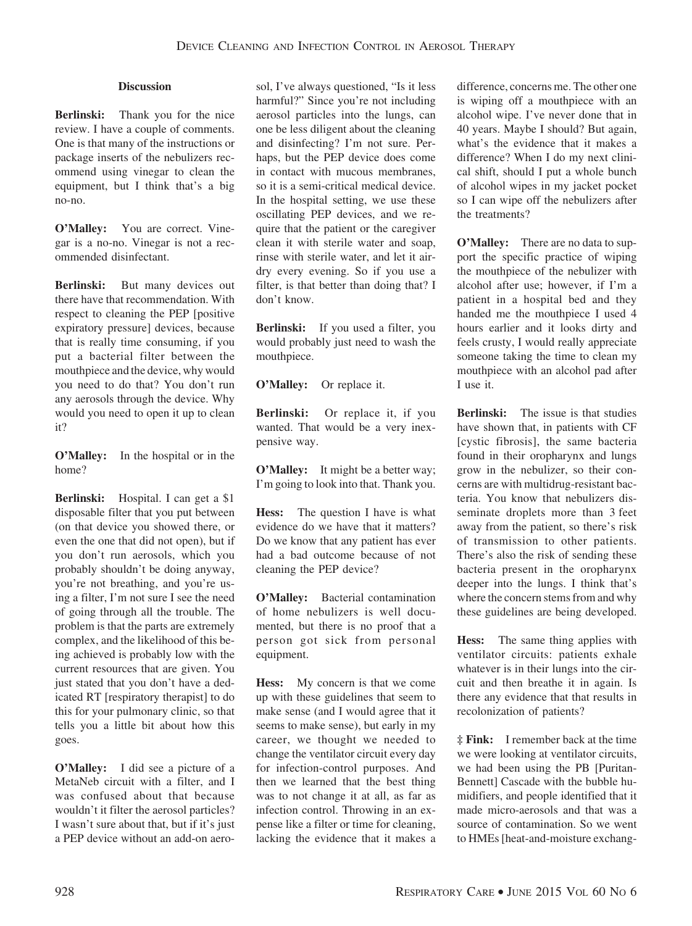# **Discussion**

**Berlinski:** Thank you for the nice review. I have a couple of comments. One is that many of the instructions or package inserts of the nebulizers recommend using vinegar to clean the equipment, but I think that's a big no-no.

**O'Malley:** You are correct. Vinegar is a no-no. Vinegar is not a recommended disinfectant.

**Berlinski:** But many devices out there have that recommendation. With respect to cleaning the PEP [positive expiratory pressure] devices, because that is really time consuming, if you put a bacterial filter between the mouthpiece and the device, why would you need to do that? You don't run any aerosols through the device. Why would you need to open it up to clean it?

**O'Malley:** In the hospital or in the home?

**Berlinski:** Hospital. I can get a \$1 disposable filter that you put between (on that device you showed there, or even the one that did not open), but if you don't run aerosols, which you probably shouldn't be doing anyway, you're not breathing, and you're using a filter, I'm not sure I see the need of going through all the trouble. The problem is that the parts are extremely complex, and the likelihood of this being achieved is probably low with the current resources that are given. You just stated that you don't have a dedicated RT [respiratory therapist] to do this for your pulmonary clinic, so that tells you a little bit about how this goes.

**O'Malley:** I did see a picture of a MetaNeb circuit with a filter, and I was confused about that because wouldn't it filter the aerosol particles? I wasn't sure about that, but if it's just a PEP device without an add-on aerosol, I've always questioned, "Is it less harmful?" Since you're not including aerosol particles into the lungs, can one be less diligent about the cleaning and disinfecting? I'm not sure. Perhaps, but the PEP device does come in contact with mucous membranes, so it is a semi-critical medical device. In the hospital setting, we use these oscillating PEP devices, and we require that the patient or the caregiver clean it with sterile water and soap, rinse with sterile water, and let it airdry every evening. So if you use a filter, is that better than doing that? I don't know.

**Berlinski:** If you used a filter, you would probably just need to wash the mouthpiece.

**O'Malley:** Or replace it.

**Berlinski:** Or replace it, if you wanted. That would be a very inexpensive way.

**O'Malley:** It might be a better way; I'm going to look into that. Thank you.

**Hess:** The question I have is what evidence do we have that it matters? Do we know that any patient has ever had a bad outcome because of not cleaning the PEP device?

**O'Malley:** Bacterial contamination of home nebulizers is well documented, but there is no proof that a person got sick from personal equipment.

**Hess:** My concern is that we come up with these guidelines that seem to make sense (and I would agree that it seems to make sense), but early in my career, we thought we needed to change the ventilator circuit every day for infection-control purposes. And then we learned that the best thing was to not change it at all, as far as infection control. Throwing in an expense like a filter or time for cleaning, lacking the evidence that it makes a difference, concerns me. The other one is wiping off a mouthpiece with an alcohol wipe. I've never done that in 40 years. Maybe I should? But again, what's the evidence that it makes a difference? When I do my next clinical shift, should I put a whole bunch of alcohol wipes in my jacket pocket so I can wipe off the nebulizers after the treatments?

**O'Malley:** There are no data to support the specific practice of wiping the mouthpiece of the nebulizer with alcohol after use; however, if I'm a patient in a hospital bed and they handed me the mouthpiece I used 4 hours earlier and it looks dirty and feels crusty, I would really appreciate someone taking the time to clean my mouthpiece with an alcohol pad after I use it.

**Berlinski:** The issue is that studies have shown that, in patients with CF [cystic fibrosis], the same bacteria found in their oropharynx and lungs grow in the nebulizer, so their concerns are with multidrug-resistant bacteria. You know that nebulizers disseminate droplets more than 3 feet away from the patient, so there's risk of transmission to other patients. There's also the risk of sending these bacteria present in the oropharynx deeper into the lungs. I think that's where the concern stems from and why these guidelines are being developed.

**Hess:** The same thing applies with ventilator circuits: patients exhale whatever is in their lungs into the circuit and then breathe it in again. Is there any evidence that that results in recolonization of patients?

**‡ Fink:** I remember back at the time we were looking at ventilator circuits, we had been using the PB [Puritan-Bennett] Cascade with the bubble humidifiers, and people identified that it made micro-aerosols and that was a source of contamination. So we went to HMEs [heat-and-moisture exchang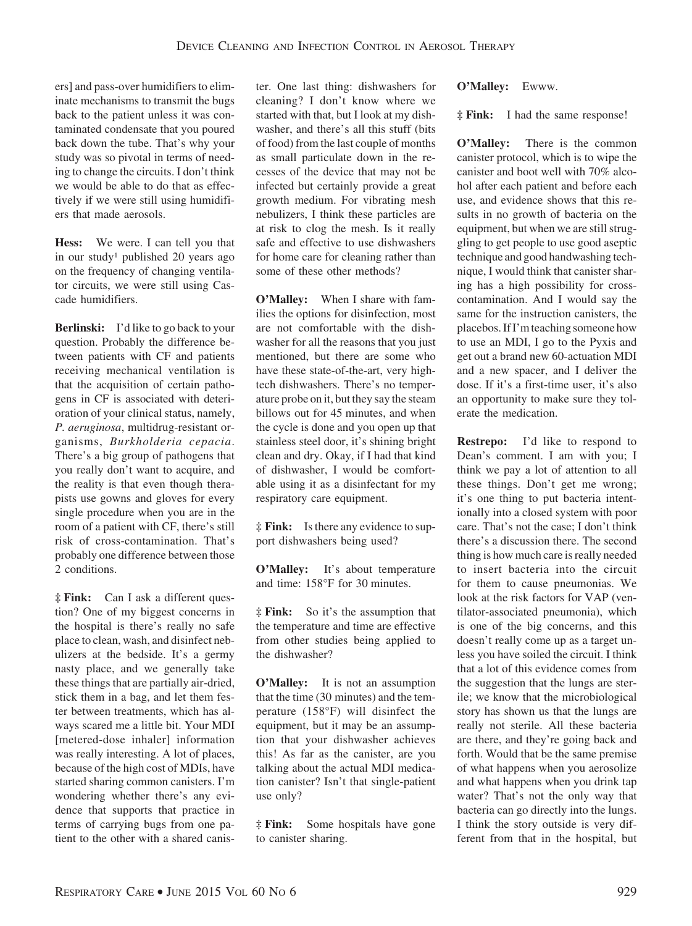ers] and pass-over humidifiers to eliminate mechanisms to transmit the bugs back to the patient unless it was contaminated condensate that you poured back down the tube. That's why your study was so pivotal in terms of needing to change the circuits. I don't think we would be able to do that as effectively if we were still using humidifiers that made aerosols.

**Hess:** We were. I can tell you that in our study<sup>1</sup> published 20 years ago on the frequency of changing ventilator circuits, we were still using Cascade humidifiers.

**Berlinski:** I'd like to go back to your question. Probably the difference between patients with CF and patients receiving mechanical ventilation is that the acquisition of certain pathogens in CF is associated with deterioration of your clinical status, namely, *P. aeruginosa*, multidrug-resistant organisms, *Burkholderia cepacia*. There's a big group of pathogens that you really don't want to acquire, and the reality is that even though therapists use gowns and gloves for every single procedure when you are in the room of a patient with CF, there's still risk of cross-contamination. That's probably one difference between those 2 conditions.

**‡ Fink:** Can I ask a different question? One of my biggest concerns in the hospital is there's really no safe place to clean, wash, and disinfect nebulizers at the bedside. It's a germy nasty place, and we generally take these things that are partially air-dried, stick them in a bag, and let them fester between treatments, which has always scared me a little bit. Your MDI [metered-dose inhaler] information was really interesting. A lot of places, because of the high cost of MDIs, have started sharing common canisters. I'm wondering whether there's any evidence that supports that practice in terms of carrying bugs from one patient to the other with a shared canister. One last thing: dishwashers for cleaning? I don't know where we started with that, but I look at my dishwasher, and there's all this stuff (bits of food) from the last couple of months as small particulate down in the recesses of the device that may not be infected but certainly provide a great growth medium. For vibrating mesh nebulizers, I think these particles are at risk to clog the mesh. Is it really safe and effective to use dishwashers for home care for cleaning rather than some of these other methods?

**O'Malley:** When I share with families the options for disinfection, most are not comfortable with the dishwasher for all the reasons that you just mentioned, but there are some who have these state-of-the-art, very hightech dishwashers. There's no temperature probe on it, but they say the steam billows out for 45 minutes, and when the cycle is done and you open up that stainless steel door, it's shining bright clean and dry. Okay, if I had that kind of dishwasher, I would be comfortable using it as a disinfectant for my respiratory care equipment.

**‡ Fink:** Is there any evidence to support dishwashers being used?

**O'Malley:** It's about temperature and time: 158°F for 30 minutes.

**‡ Fink:** So it's the assumption that the temperature and time are effective from other studies being applied to the dishwasher?

**O'Malley:** It is not an assumption that the time (30 minutes) and the temperature (158°F) will disinfect the equipment, but it may be an assumption that your dishwasher achieves this! As far as the canister, are you talking about the actual MDI medication canister? Isn't that single-patient use only?

**‡ Fink:** Some hospitals have gone to canister sharing.

**O'Malley:** Ewww.

**‡ Fink:** I had the same response!

**O'Malley:** There is the common canister protocol, which is to wipe the canister and boot well with 70% alcohol after each patient and before each use, and evidence shows that this results in no growth of bacteria on the equipment, but when we are still struggling to get people to use good aseptic technique and good handwashing technique, I would think that canister sharing has a high possibility for crosscontamination. And I would say the same for the instruction canisters, the placebos. If I'mteaching someone how to use an MDI, I go to the Pyxis and get out a brand new 60-actuation MDI and a new spacer, and I deliver the dose. If it's a first-time user, it's also an opportunity to make sure they tolerate the medication.

**Restrepo:** I'd like to respond to Dean's comment. I am with you; I think we pay a lot of attention to all these things. Don't get me wrong; it's one thing to put bacteria intentionally into a closed system with poor care. That's not the case; I don't think there's a discussion there. The second thing is how much care is really needed to insert bacteria into the circuit for them to cause pneumonias. We look at the risk factors for VAP (ventilator-associated pneumonia), which is one of the big concerns, and this doesn't really come up as a target unless you have soiled the circuit. I think that a lot of this evidence comes from the suggestion that the lungs are sterile; we know that the microbiological story has shown us that the lungs are really not sterile. All these bacteria are there, and they're going back and forth. Would that be the same premise of what happens when you aerosolize and what happens when you drink tap water? That's not the only way that bacteria can go directly into the lungs. I think the story outside is very different from that in the hospital, but